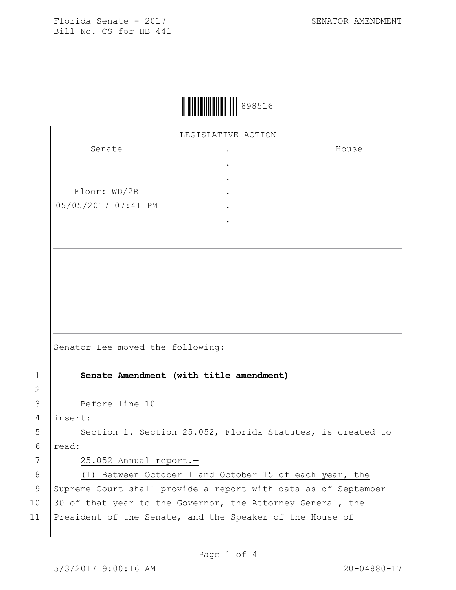House



LEGISLATIVE ACTION

.

Senate Floor: WD/2R 05/05/2017 07:41 PM . . . . .

Senator Lee moved the following: 1 **Senate Amendment (with title amendment)** 3 Before line 10 4 insert: 5 Section 1. Section 25.052, Florida Statutes, is created to 6 read: 7 25.052 Annual report.— 8 (1) Between October 1 and October 15 of each year, the 9 Supreme Court shall provide a report with data as of September 10 30 of that year to the Governor, the Attorney General, the 11 President of the Senate, and the Speaker of the House of

2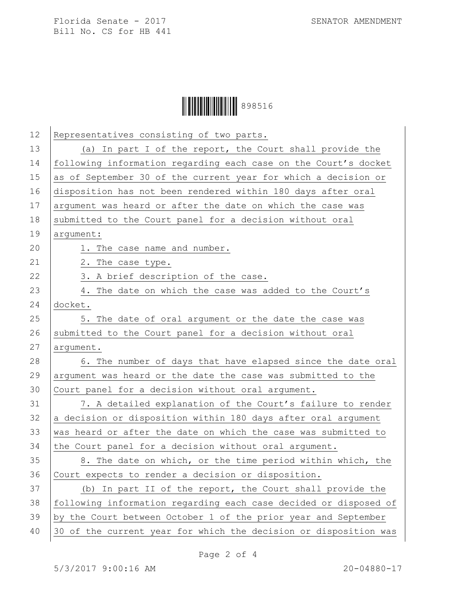Florida Senate - 2017 SENATOR AMENDMENT Bill No. CS for HB 441



| 13<br>(a) In part I of the report, the Court shall provide the<br>14<br>15<br>as of September 30 of the current year for which a decision or<br>16<br>disposition has not been rendered within 180 days after oral<br>17<br>argument was heard or after the date on which the case was<br>18<br>submitted to the Court panel for a decision without oral<br>19<br>argument:<br>20<br>1. The case name and number.<br>21<br>2. The case type.<br>22<br>3. A brief description of the case.<br>23<br>4. The date on which the case was added to the Court's<br>24<br>docket.<br>25<br>5. The date of oral argument or the date the case was<br>26<br>submitted to the Court panel for a decision without oral<br>27<br>argument.<br>28<br>29<br>argument was heard or the date the case was submitted to the<br>30<br>Court panel for a decision without oral argument.<br>31<br>32<br>a decision or disposition within 180 days after oral argument<br>33<br>was heard or after the date on which the case was submitted to<br>34<br>the Court panel for a decision without oral argument. | 12 | Representatives consisting of two parts.                         |
|-------------------------------------------------------------------------------------------------------------------------------------------------------------------------------------------------------------------------------------------------------------------------------------------------------------------------------------------------------------------------------------------------------------------------------------------------------------------------------------------------------------------------------------------------------------------------------------------------------------------------------------------------------------------------------------------------------------------------------------------------------------------------------------------------------------------------------------------------------------------------------------------------------------------------------------------------------------------------------------------------------------------------------------------------------------------------------------------|----|------------------------------------------------------------------|
|                                                                                                                                                                                                                                                                                                                                                                                                                                                                                                                                                                                                                                                                                                                                                                                                                                                                                                                                                                                                                                                                                           |    |                                                                  |
|                                                                                                                                                                                                                                                                                                                                                                                                                                                                                                                                                                                                                                                                                                                                                                                                                                                                                                                                                                                                                                                                                           |    | following information regarding each case on the Court's docket  |
|                                                                                                                                                                                                                                                                                                                                                                                                                                                                                                                                                                                                                                                                                                                                                                                                                                                                                                                                                                                                                                                                                           |    |                                                                  |
|                                                                                                                                                                                                                                                                                                                                                                                                                                                                                                                                                                                                                                                                                                                                                                                                                                                                                                                                                                                                                                                                                           |    |                                                                  |
|                                                                                                                                                                                                                                                                                                                                                                                                                                                                                                                                                                                                                                                                                                                                                                                                                                                                                                                                                                                                                                                                                           |    |                                                                  |
|                                                                                                                                                                                                                                                                                                                                                                                                                                                                                                                                                                                                                                                                                                                                                                                                                                                                                                                                                                                                                                                                                           |    |                                                                  |
|                                                                                                                                                                                                                                                                                                                                                                                                                                                                                                                                                                                                                                                                                                                                                                                                                                                                                                                                                                                                                                                                                           |    |                                                                  |
|                                                                                                                                                                                                                                                                                                                                                                                                                                                                                                                                                                                                                                                                                                                                                                                                                                                                                                                                                                                                                                                                                           |    |                                                                  |
|                                                                                                                                                                                                                                                                                                                                                                                                                                                                                                                                                                                                                                                                                                                                                                                                                                                                                                                                                                                                                                                                                           |    |                                                                  |
|                                                                                                                                                                                                                                                                                                                                                                                                                                                                                                                                                                                                                                                                                                                                                                                                                                                                                                                                                                                                                                                                                           |    |                                                                  |
|                                                                                                                                                                                                                                                                                                                                                                                                                                                                                                                                                                                                                                                                                                                                                                                                                                                                                                                                                                                                                                                                                           |    |                                                                  |
|                                                                                                                                                                                                                                                                                                                                                                                                                                                                                                                                                                                                                                                                                                                                                                                                                                                                                                                                                                                                                                                                                           |    |                                                                  |
|                                                                                                                                                                                                                                                                                                                                                                                                                                                                                                                                                                                                                                                                                                                                                                                                                                                                                                                                                                                                                                                                                           |    |                                                                  |
|                                                                                                                                                                                                                                                                                                                                                                                                                                                                                                                                                                                                                                                                                                                                                                                                                                                                                                                                                                                                                                                                                           |    |                                                                  |
|                                                                                                                                                                                                                                                                                                                                                                                                                                                                                                                                                                                                                                                                                                                                                                                                                                                                                                                                                                                                                                                                                           |    |                                                                  |
|                                                                                                                                                                                                                                                                                                                                                                                                                                                                                                                                                                                                                                                                                                                                                                                                                                                                                                                                                                                                                                                                                           |    | 6. The number of days that have elapsed since the date oral      |
|                                                                                                                                                                                                                                                                                                                                                                                                                                                                                                                                                                                                                                                                                                                                                                                                                                                                                                                                                                                                                                                                                           |    |                                                                  |
|                                                                                                                                                                                                                                                                                                                                                                                                                                                                                                                                                                                                                                                                                                                                                                                                                                                                                                                                                                                                                                                                                           |    |                                                                  |
|                                                                                                                                                                                                                                                                                                                                                                                                                                                                                                                                                                                                                                                                                                                                                                                                                                                                                                                                                                                                                                                                                           |    | 7. A detailed explanation of the Court's failure to render       |
|                                                                                                                                                                                                                                                                                                                                                                                                                                                                                                                                                                                                                                                                                                                                                                                                                                                                                                                                                                                                                                                                                           |    |                                                                  |
|                                                                                                                                                                                                                                                                                                                                                                                                                                                                                                                                                                                                                                                                                                                                                                                                                                                                                                                                                                                                                                                                                           |    |                                                                  |
|                                                                                                                                                                                                                                                                                                                                                                                                                                                                                                                                                                                                                                                                                                                                                                                                                                                                                                                                                                                                                                                                                           |    |                                                                  |
|                                                                                                                                                                                                                                                                                                                                                                                                                                                                                                                                                                                                                                                                                                                                                                                                                                                                                                                                                                                                                                                                                           | 35 | 8. The date on which, or the time period within which, the       |
| 36<br>Court expects to render a decision or disposition.                                                                                                                                                                                                                                                                                                                                                                                                                                                                                                                                                                                                                                                                                                                                                                                                                                                                                                                                                                                                                                  |    |                                                                  |
| 37<br>(b) In part II of the report, the Court shall provide the                                                                                                                                                                                                                                                                                                                                                                                                                                                                                                                                                                                                                                                                                                                                                                                                                                                                                                                                                                                                                           |    |                                                                  |
| 38                                                                                                                                                                                                                                                                                                                                                                                                                                                                                                                                                                                                                                                                                                                                                                                                                                                                                                                                                                                                                                                                                        |    | following information regarding each case decided or disposed of |
| 39<br>by the Court between October 1 of the prior year and September                                                                                                                                                                                                                                                                                                                                                                                                                                                                                                                                                                                                                                                                                                                                                                                                                                                                                                                                                                                                                      |    |                                                                  |
|                                                                                                                                                                                                                                                                                                                                                                                                                                                                                                                                                                                                                                                                                                                                                                                                                                                                                                                                                                                                                                                                                           | 40 | 30 of the current year for which the decision or disposition was |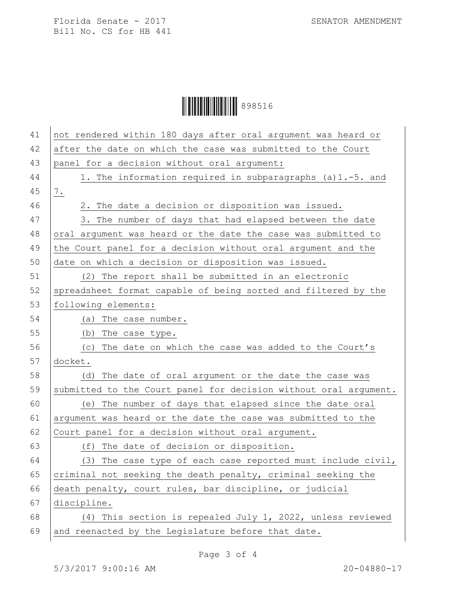Florida Senate - 2017 SENATOR AMENDMENT Bill No. CS for HB 441

## Ì898516DÎ898516

| 41 | not rendered within 180 days after oral argument was heard or    |
|----|------------------------------------------------------------------|
| 42 | after the date on which the case was submitted to the Court      |
| 43 | panel for a decision without oral argument:                      |
| 44 | 1. The information required in subparagraphs (a) 1.-5. and       |
| 45 | $\frac{7}{1}$ .                                                  |
| 46 | 2. The date a decision or disposition was issued.                |
| 47 | 3. The number of days that had elapsed between the date          |
| 48 | oral argument was heard or the date the case was submitted to    |
| 49 | the Court panel for a decision without oral argument and the     |
| 50 | date on which a decision or disposition was issued.              |
| 51 | (2) The report shall be submitted in an electronic               |
| 52 | spreadsheet format capable of being sorted and filtered by the   |
| 53 | following elements:                                              |
| 54 | The case number.<br>(a)                                          |
| 55 | (b)<br>The case type.                                            |
| 56 | The date on which the case was added to the Court's<br>(C)       |
| 57 | docket.                                                          |
| 58 | The date of oral argument or the date the case was<br>(d)        |
| 59 | submitted to the Court panel for decision without oral argument. |
| 60 | (e) The number of days that elapsed since the date oral          |
| 61 | argument was heard or the date the case was submitted to the     |
| 62 | Court panel for a decision without oral argument.                |
| 63 | The date of decision or disposition.<br>(f)                      |
| 64 | (3) The case type of each case reported must include civil,      |
| 65 | criminal not seeking the death penalty, criminal seeking the     |
| 66 | death penalty, court rules, bar discipline, or judicial          |
| 67 | discipline.                                                      |
| 68 | (4) This section is repealed July 1, 2022, unless reviewed       |
| 69 | and reenacted by the Legislature before that date.               |
|    |                                                                  |